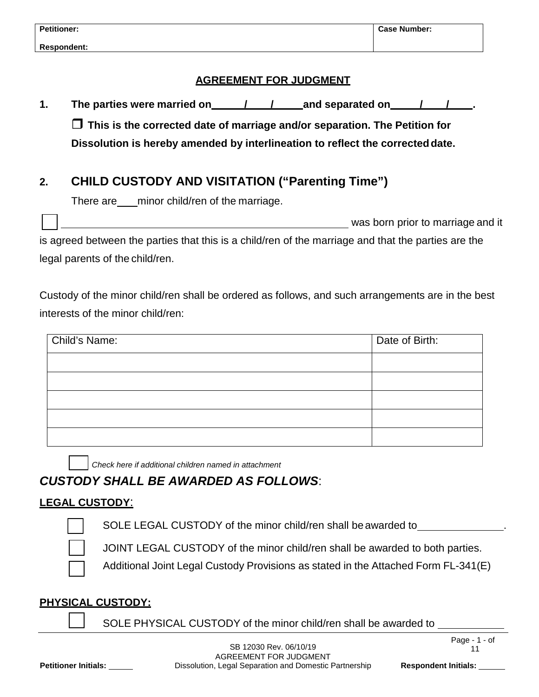### **AGREEMENT FOR JUDGMENT**

**1. The parties were married on / / and separated on / / .**

 **This is the corrected date of marriage and/or separation. The Petition for Dissolution is hereby amended by interlineation to reflect the correcteddate.**

# **2. CHILD CUSTODY AND VISITATION ("Parenting Time")**

There are minor child/ren of the marriage.

was born prior to marriage and it

is agreed between the parties that this is a child/ren of the marriage and that the parties are the legal parents of the child/ren.

Custody of the minor child/ren shall be ordered as follows, and such arrangements are in the best interests of the minor child/ren:

| Child's Name: | Date of Birth: |
|---------------|----------------|
|               |                |
|               |                |
|               |                |
|               |                |
|               |                |

*Check here if additional children named in attachment*

## *CUSTODY SHALL BE AWARDED AS FOLLOWS*:

### **LEGAL CUSTODY**:

SOLE LEGAL CUSTODY of the minor child/ren shall be awarded to



JOINT LEGAL CUSTODY of the minor child/ren shall be awarded to both parties.

Additional Joint Legal Custody Provisions as stated in the Attached Form FL-341(E)

### **PHYSICAL CUSTODY:**

SOLE PHYSICAL CUSTODY of the minor child/ren shall be awarded to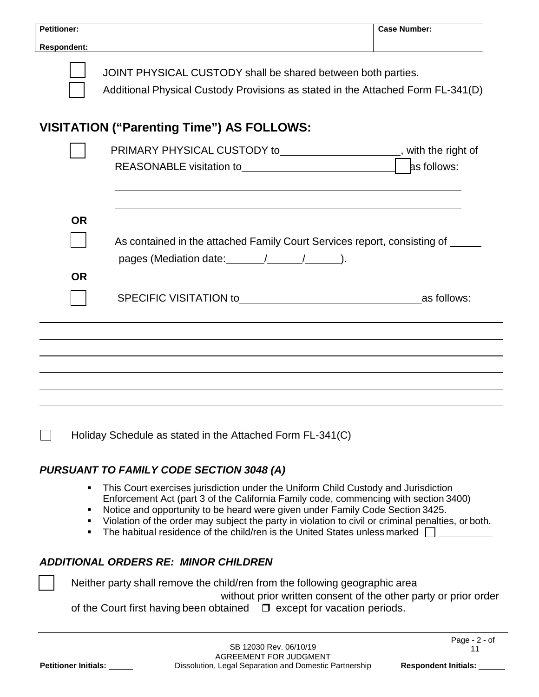| <b>Petitioner:</b>   |                                                                                                                                                                                                                                                                                                                                                                                                                                                      | <b>Case Number:</b>               |
|----------------------|------------------------------------------------------------------------------------------------------------------------------------------------------------------------------------------------------------------------------------------------------------------------------------------------------------------------------------------------------------------------------------------------------------------------------------------------------|-----------------------------------|
| <b>Respondent:</b>   |                                                                                                                                                                                                                                                                                                                                                                                                                                                      |                                   |
|                      | JOINT PHYSICAL CUSTODY shall be shared between both parties.<br>Additional Physical Custody Provisions as stated in the Attached Form FL-341(D)                                                                                                                                                                                                                                                                                                      |                                   |
|                      | VISITATION ("Parenting Time") AS FOLLOWS:                                                                                                                                                                                                                                                                                                                                                                                                            |                                   |
|                      | PRIMARY PHYSICAL CUSTODY to_____________________, with the right of                                                                                                                                                                                                                                                                                                                                                                                  |                                   |
|                      |                                                                                                                                                                                                                                                                                                                                                                                                                                                      | as follows:                       |
| <b>OR</b>            |                                                                                                                                                                                                                                                                                                                                                                                                                                                      |                                   |
|                      | As contained in the attached Family Court Services report, consisting of                                                                                                                                                                                                                                                                                                                                                                             |                                   |
|                      |                                                                                                                                                                                                                                                                                                                                                                                                                                                      |                                   |
| <b>OR</b>            |                                                                                                                                                                                                                                                                                                                                                                                                                                                      |                                   |
|                      |                                                                                                                                                                                                                                                                                                                                                                                                                                                      |                                   |
|                      |                                                                                                                                                                                                                                                                                                                                                                                                                                                      |                                   |
|                      | Holiday Schedule as stated in the Attached Form FL-341(C)                                                                                                                                                                                                                                                                                                                                                                                            |                                   |
|                      | <b>PURSUANT TO FAMILY CODE SECTION 3048 (A)</b>                                                                                                                                                                                                                                                                                                                                                                                                      |                                   |
|                      | This Court exercises jurisdiction under the Uniform Child Custody and Jurisdiction<br>п<br>Enforcement Act (part 3 of the California Family code, commencing with section 3400)<br>Notice and opportunity to be heard were given under Family Code Section 3425.<br>Violation of the order may subject the party in violation to civil or criminal penalties, or both.<br>The habitual residence of the child/ren is the United States unless marked |                                   |
|                      | <b>ADDITIONAL ORDERS RE: MINOR CHILDREN</b>                                                                                                                                                                                                                                                                                                                                                                                                          |                                   |
|                      | Neither party shall remove the child/ren from the following geographic area<br>without prior written consent of the other party or prior order<br>of the Court first having been obtained $\Box$ except for vacation periods.                                                                                                                                                                                                                        |                                   |
|                      |                                                                                                                                                                                                                                                                                                                                                                                                                                                      | Page - 2 - of                     |
| Petitioner Initials: | SB 12030 Rev. 06/10/19<br>AGREEMENT FOR JUDGMENT<br>Dissolution, Legal Separation and Domestic Partnership                                                                                                                                                                                                                                                                                                                                           | 11<br><b>Respondent Initials:</b> |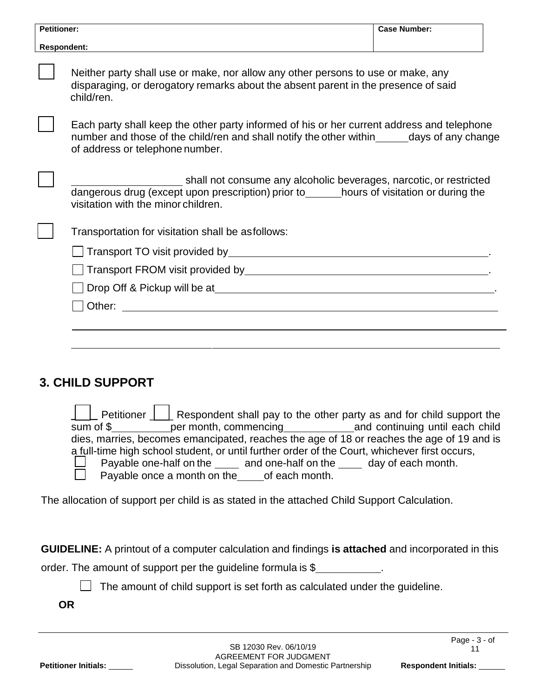| <b>Petitioner:</b> |                                                                                                                                                                                                                                 | <b>Case Number:</b> |
|--------------------|---------------------------------------------------------------------------------------------------------------------------------------------------------------------------------------------------------------------------------|---------------------|
| <b>Respondent:</b> |                                                                                                                                                                                                                                 |                     |
|                    | Neither party shall use or make, nor allow any other persons to use or make, any<br>disparaging, or derogatory remarks about the absent parent in the presence of said<br>child/ren.                                            |                     |
|                    | Each party shall keep the other party informed of his or her current address and telephone<br>number and those of the child/ren and shall notify the other within _______ days of any change<br>of address or telephone number. |                     |
|                    | shall not consume any alcoholic beverages, narcotic, or restricted<br>dangerous drug (except upon prescription) prior to______hours of visitation or during the<br>visitation with the minor children.                          |                     |
|                    | Transportation for visitation shall be asfollows:                                                                                                                                                                               |                     |
|                    |                                                                                                                                                                                                                                 |                     |
|                    |                                                                                                                                                                                                                                 |                     |
|                    |                                                                                                                                                                                                                                 |                     |
|                    |                                                                                                                                                                                                                                 |                     |
|                    |                                                                                                                                                                                                                                 |                     |

## **3. CHILD SUPPORT**

|  |                                                         | $\parallel$ Petitioner $\parallel$ L Respondent shall pay to the other party as and for child support the |  |
|--|---------------------------------------------------------|-----------------------------------------------------------------------------------------------------------|--|
|  |                                                         |                                                                                                           |  |
|  |                                                         | dies, marries, becomes emancipated, reaches the age of 18 or reaches the age of 19 and is                 |  |
|  |                                                         | a full-time high school student, or until further order of the Court, whichever first occurs,             |  |
|  |                                                         | $\Box$ Payable one-half on the $\Box$ and one-half on the $\Box$ day of each month.                       |  |
|  | $\Box$ Payable once a month on the _____ of each month. |                                                                                                           |  |

The allocation of support per child is as stated in the attached Child Support Calculation.

**GUIDELINE:** A printout of a computer calculation and findings **is attached** and incorporated in this

order. The amount of support per the guideline formula is \$

 $\Box$  The amount of child support is set forth as calculated under the guideline.

**OR**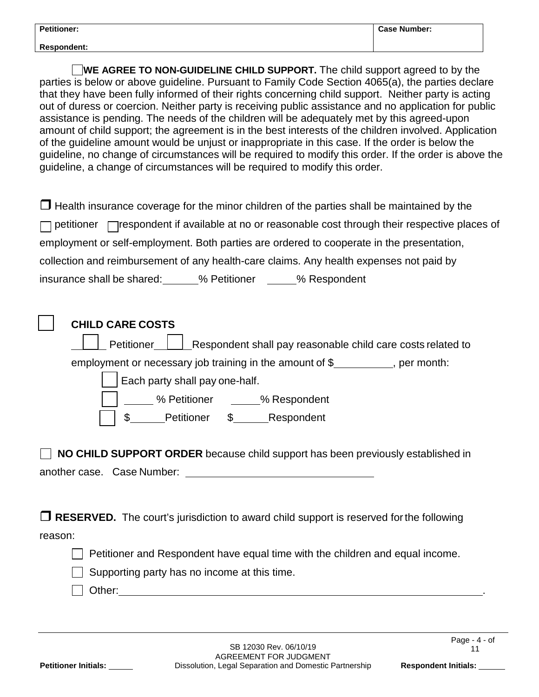| <b>Petitioner:</b> | <b>Case Number:</b> |
|--------------------|---------------------|
| <b>Respondent:</b> |                     |

**WE AGREE TO NON-GUIDELINE CHILD SUPPORT.** The child support agreed to by the parties is below or above guideline. Pursuant to Family Code Section 4065(a), the parties declare that they have been fully informed of their rights concerning child support. Neither party is acting out of duress or coercion. Neither party is receiving public assistance and no application for public assistance is pending. The needs of the children will be adequately met by this agreed-upon amount of child support; the agreement is in the best interests of the children involved. Application of the guideline amount would be unjust or inappropriate in this case. If the order is below the guideline, no change of circumstances will be required to modify this order. If the order is above the guideline, a change of circumstances will be required to modify this order.

|                                                                                           |              | $\Box$ Health insurance coverage for the minor children of the parties shall be maintained by the            |
|-------------------------------------------------------------------------------------------|--------------|--------------------------------------------------------------------------------------------------------------|
|                                                                                           |              | $\Box$ petitioner $\Box$ respondent if available at no or reasonable cost through their respective places of |
| employment or self-employment. Both parties are ordered to cooperate in the presentation, |              |                                                                                                              |
| collection and reimbursement of any health-care claims. Any health expenses not paid by   |              |                                                                                                              |
| insurance shall be shared:                                                                | % Petitioner | _% Respondent                                                                                                |

| <b>CHILD CARE COSTS</b>                                                   |
|---------------------------------------------------------------------------|
| Respondent shall pay reasonable child care costs related to<br>Petitioner |
| employment or necessary job training in the amount of $$$<br>, per month: |
| Each party shall pay one-half.                                            |
| % Petitioner % Respondent                                                 |
| Petitioner<br>\$ Respondent                                               |
|                                                                           |

|                            | $\Box$ NO CHILD SUPPORT ORDER because child support has been previously established in |  |
|----------------------------|----------------------------------------------------------------------------------------|--|
| another case. Case Number: |                                                                                        |  |

□ RESERVED. The court's jurisdiction to award child support is reserved for the following reason:

 $\Box$  Petitioner and Respondent have equal time with the children and equal income.

 $\Box$  Supporting party has no income at this time.

 $\Box$  Other: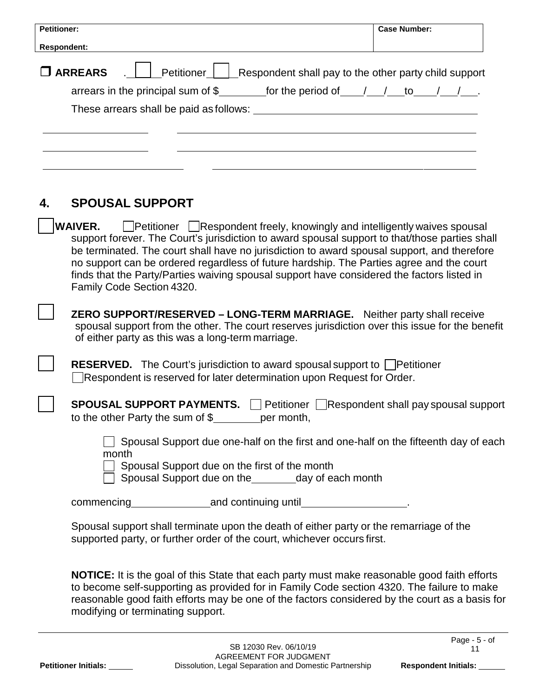| <b>Petitioner:</b>                                                                                             | <b>Case Number:</b> |
|----------------------------------------------------------------------------------------------------------------|---------------------|
| <b>Respondent:</b>                                                                                             |                     |
| Petitioner   Respondent shall pay to the other party child support<br>$\square$ ARREARS                        |                     |
| arrears in the principal sum of $\frac{2}{3}$ for the period of $\frac{1}{\sqrt{2}}$ to $\frac{1}{\sqrt{2}}$ . |                     |
|                                                                                                                |                     |
|                                                                                                                |                     |
|                                                                                                                |                     |
|                                                                                                                |                     |
|                                                                                                                |                     |
|                                                                                                                |                     |

## **4. SPOUSAL SUPPORT**

**WAIVER.** Petitioner Respondent freely, knowingly and intelligently waives spousal support forever. The Court's jurisdiction to award spousal support to that/those parties shall be terminated. The court shall have no jurisdiction to award spousal support, and therefore no support can be ordered regardless of future hardship. The Parties agree and the court finds that the Party/Parties waiving spousal support have considered the factors listed in Family Code Section 4320.

 **ZERO SUPPORT/RESERVED – LONG-TERM MARRIAGE.** Neither party shall receive spousal support from the other. The court reserves jurisdiction over this issue for the benefit of either party as this was a long-term marriage.

**RESERVED.** The Court's jurisdiction to award spousal support to **Petitioner** Respondent is reserved for later determination upon Request for Order.

**SPOUSAL SUPPORT PAYMENTS.** Petitioner **Respondent shall pay spousal support** to the other Party the sum of  $\$\$  per month,

 $\Box$  Spousal Support due one-half on the first and one-half on the fifteenth day of each month

Spousal Support due on the first of the month

 $\Box$  Spousal Support due on the  $\Box$  day of each month

commencing and continuing until

Spousal support shall terminate upon the death of either party or the remarriage of the supported party, or further order of the court, whichever occurs first.

**NOTICE:** It is the goal of this State that each party must make reasonable good faith efforts to become self-supporting as provided for in Family Code section 4320. The failure to make reasonable good faith efforts may be one of the factors considered by the court as a basis for modifying or terminating support.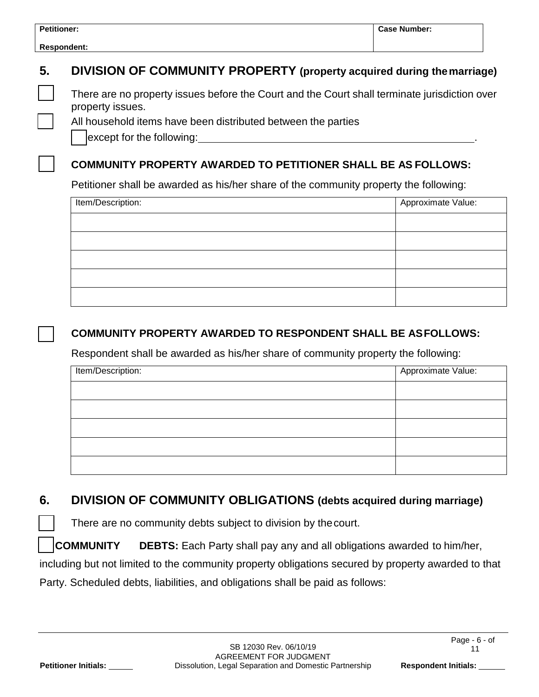| <b>Petitioner:</b>                                                                                                   | <b>Case Number:</b> |  |  |
|----------------------------------------------------------------------------------------------------------------------|---------------------|--|--|
| <b>Respondent:</b>                                                                                                   |                     |  |  |
| DIVISION OF COMMUNITY PROPERTY (property acquired during the marriage)                                               |                     |  |  |
| There are no property issues before the Court and the Court shall terminate jurisdiction over<br>property issues.    |                     |  |  |
| All household items have been distributed between the parties<br>except for the following: except for the following: |                     |  |  |
| <b>COMMUNITY PROPERTY AWARDED TO PETITIONER SHALL BE AS FOLLOWS:</b>                                                 |                     |  |  |
| Petitioner shall be awarded as his/her share of the community property the following:                                |                     |  |  |
|                                                                                                                      |                     |  |  |
| Item/Description:                                                                                                    | Approximate Value:  |  |  |
|                                                                                                                      |                     |  |  |
|                                                                                                                      |                     |  |  |
|                                                                                                                      |                     |  |  |
|                                                                                                                      |                     |  |  |
|                                                                                                                      |                     |  |  |

| Item/Description: | Approximate Value: |
|-------------------|--------------------|
|                   |                    |
|                   |                    |
|                   |                    |
|                   |                    |
|                   |                    |

## **6. DIVISION OF COMMUNITY OBLIGATIONS (debts acquired during marriage)**

There are no community debts subject to division by thecourt.

 **COMMUNITY DEBTS:** Each Party shall pay any and all obligations awarded to him/her, including but not limited to the community property obligations secured by property awarded to that Party. Scheduled debts, liabilities, and obligations shall be paid as follows: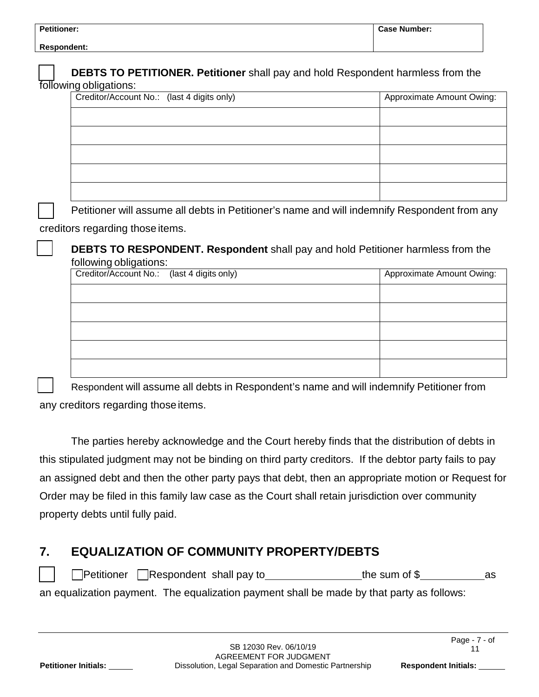| <b>Petitioner:</b> | ∣ Case Number: |
|--------------------|----------------|
|--------------------|----------------|

| following obligations: | Creditor/Account No.: (last 4 digits only)                                                   | Approximate Amount Owing: |
|------------------------|----------------------------------------------------------------------------------------------|---------------------------|
|                        |                                                                                              |                           |
|                        |                                                                                              |                           |
|                        |                                                                                              |                           |
|                        |                                                                                              |                           |
|                        |                                                                                              |                           |
|                        |                                                                                              |                           |
|                        | Petitioner will assume all debts in Petitioner's name and will indemnify Respondent from any |                           |
|                        |                                                                                              |                           |
|                        | creditors regarding those items.                                                             |                           |
|                        | <b>DEBTS TO RESPONDENT. Respondent shall pay and hold Petitioner harmless from the</b>       |                           |
|                        | following obligations:<br>Creditor/Account No.:<br>(last 4 digits only)                      | Approximate Amount Owing: |
|                        |                                                                                              |                           |
|                        |                                                                                              |                           |
|                        |                                                                                              |                           |

 Respondent will assume all debts in Respondent's name and will indemnify Petitioner from any creditors regarding those items.

The parties hereby acknowledge and the Court hereby finds that the distribution of debts in this stipulated judgment may not be binding on third party creditors. If the debtor party fails to pay an assigned debt and then the other party pays that debt, then an appropriate motion or Request for Order may be filed in this family law case as the Court shall retain jurisdiction over community property debts until fully paid.

## **7. EQUALIZATION OF COMMUNITY PROPERTY/DEBTS**

 $\Box$ Petitioner  $\Box$ Respondent shall pay to the sum of \$ as

an equalization payment. The equalization payment shall be made by that party as follows: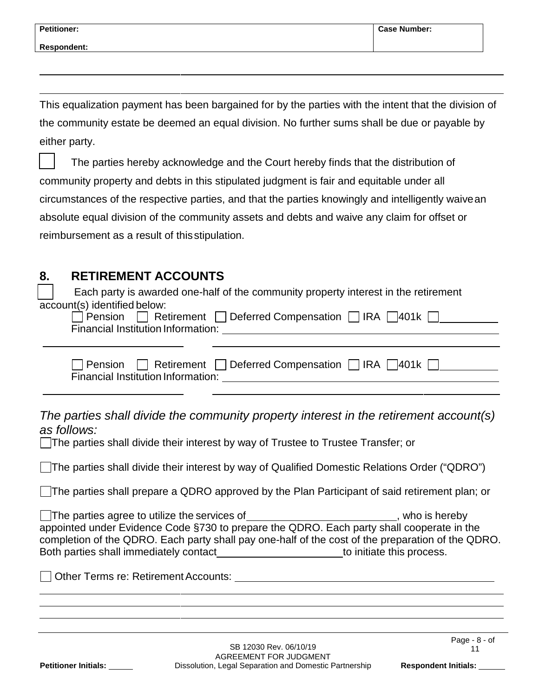| <b>Petitioner:</b> | <b>Case Number:</b> |
|--------------------|---------------------|
| <b>Respondent:</b> |                     |
|                    |                     |

This equalization payment has been bargained for by the parties with the intent that the division of the community estate be deemed an equal division. No further sums shall be due or payable by either party.

 The parties hereby acknowledge and the Court hereby finds that the distribution of community property and debts in this stipulated judgment is fair and equitable under all circumstances of the respective parties, and that the parties knowingly and intelligently waivean absolute equal division of the community assets and debts and waive any claim for offset or reimbursement as a result of thisstipulation.

# **8. RETIREMENT ACCOUNTS**

 Each party is awarded one-half of the community property interest in the retirement account(s) identified below:

|                                    | □ Pension □ Retirement □ Deferred Compensation □ IRA □ 401k □ |
|------------------------------------|---------------------------------------------------------------|
| Financial Institution Information: |                                                               |

|                                    | □ Pension □ Retirement □ Deferred Compensation □ IRA □ 401k □ |  |
|------------------------------------|---------------------------------------------------------------|--|
| Financial Institution Information: |                                                               |  |

*The parties shall divide the community property interest in the retirement account(s) as follows:*

The parties shall divide their interest by way of Trustee to Trustee Transfer; or

The parties shall divide their interest by way of Qualified Domestic Relations Order ("QDRO")

The parties shall prepare a QDRO approved by the Plan Participant of said retirement plan; or

The parties agree to utilize the services of **contained a service of the services**, who is hereby appointed under Evidence Code §730 to prepare the QDRO. Each party shall cooperate in the completion of the QDRO. Each party shall pay one-half of the cost of the preparation of the QDRO. Both parties shall immediately contact example to initiate this process.

| Other Terms re: Retirement Accounts: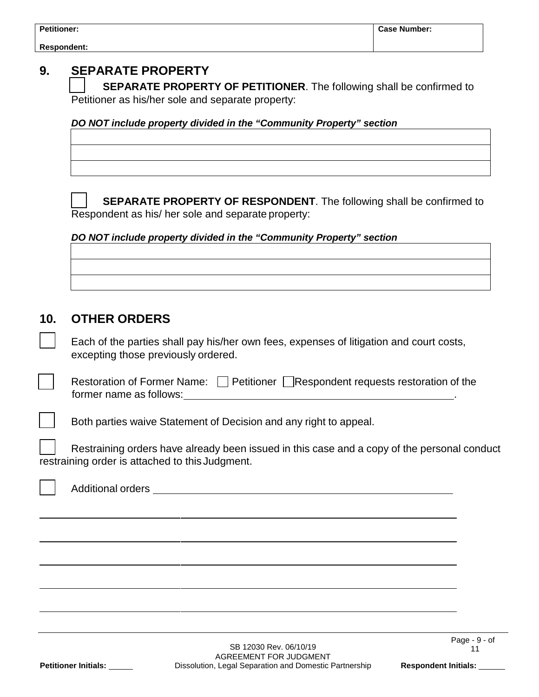| <b>Petitioner:</b> |  |
|--------------------|--|
|--------------------|--|

## **9. SEPARATE PROPERTY**

 **SEPARATE PROPERTY OF PETITIONER**. The following shall be confirmed to Petitioner as his/her sole and separate property:

*DO NOT include property divided in the "Community Property" section*



 **SEPARATE PROPERTY OF RESPONDENT**. The following shall be confirmed to Respondent as his/ her sole and separate property:

*DO NOT include property divided in the "Community Property" section*

### **10. OTHER ORDERS**

 Each of the parties shall pay his/her own fees, expenses of litigation and court costs, excepting those previously ordered.

| Restoration of Former Name: $\Box$ Petitioner $\Box$ Respondent requests restoration of the |  |
|---------------------------------------------------------------------------------------------|--|
| former name as follows:                                                                     |  |

Both parties waive Statement of Decision and any right to appeal.

 Restraining orders have already been issued in this case and a copy of the personal conduct restraining order is attached to this Judgment.

Additional orders <u>superiors</u>

Page - 9 - of 11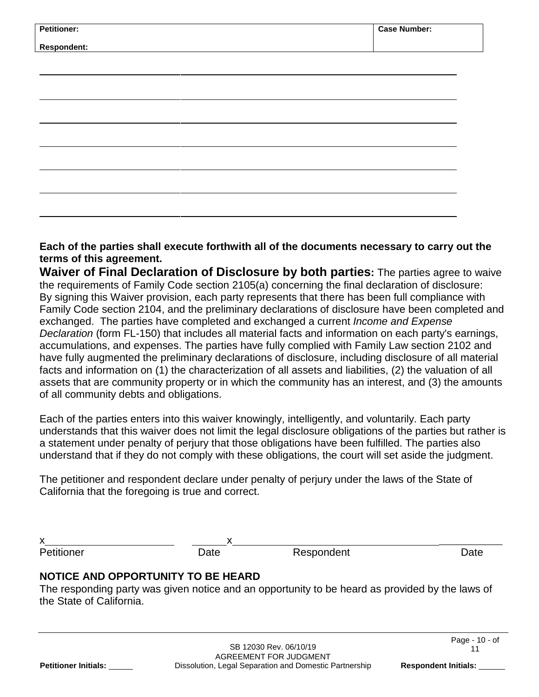| <b>Petitioner:</b> | <b>Case Number:</b> |
|--------------------|---------------------|
| <b>Respondent:</b> |                     |
|                    |                     |
|                    |                     |
|                    |                     |
|                    |                     |
|                    |                     |
|                    |                     |
|                    |                     |
|                    |                     |
|                    |                     |
|                    |                     |

#### **Each of the parties shall execute forthwith all of the documents necessary to carry out the terms of this agreement.**

**Waiver of Final Declaration of Disclosure by both parties:** The parties agree to waive the requirements of Family Code section 2105(a) concerning the final declaration of disclosure: By signing this Waiver provision, each party represents that there has been full compliance with Family Code section 2104, and the preliminary declarations of disclosure have been completed and exchanged. The parties have completed and exchanged a current *Income and Expense Declaration* (form FL-150) that includes all material facts and information on each party's earnings, accumulations, and expenses. The parties have fully complied with Family Law section 2102 and have fully augmented the preliminary declarations of disclosure, including disclosure of all material facts and information on (1) the characterization of all assets and liabilities, (2) the valuation of all assets that are community property or in which the community has an interest, and (3) the amounts of all community debts and obligations.

Each of the parties enters into this waiver knowingly, intelligently, and voluntarily. Each party understands that this waiver does not limit the legal disclosure obligations of the parties but rather is a statement under penalty of perjury that those obligations have been fulfilled. The parties also understand that if they do not comply with these obligations, the court will set aside the judgment.

The petitioner and respondent declare under penalty of perjury under the laws of the State of California that the foregoing is true and correct.

| $\overline{\mathbf{v}}$<br>◠ |      |            |      |
|------------------------------|------|------------|------|
| Petitioner                   | Date | Respondent | วat∈ |

### **NOTICE AND OPPORTUNITY TO BE HEARD**

The responding party was given notice and an opportunity to be heard as provided by the laws of the State of California.